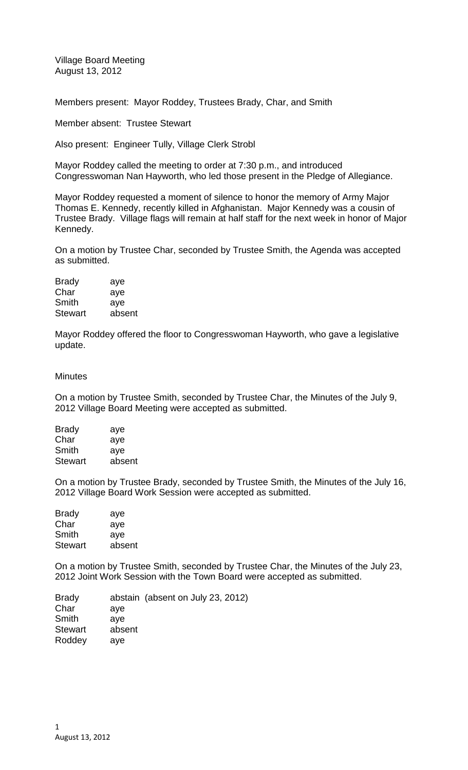Village Board Meeting August 13, 2012

Members present: Mayor Roddey, Trustees Brady, Char, and Smith

Member absent: Trustee Stewart

Also present: Engineer Tully, Village Clerk Strobl

Mayor Roddey called the meeting to order at 7:30 p.m., and introduced Congresswoman Nan Hayworth, who led those present in the Pledge of Allegiance.

Mayor Roddey requested a moment of silence to honor the memory of Army Major Thomas E. Kennedy, recently killed in Afghanistan. Major Kennedy was a cousin of Trustee Brady. Village flags will remain at half staff for the next week in honor of Major Kennedy.

On a motion by Trustee Char, seconded by Trustee Smith, the Agenda was accepted as submitted.

| <b>Brady</b>   | aye    |
|----------------|--------|
| Char           | aye    |
| Smith          | aye    |
| <b>Stewart</b> | absent |

Mayor Roddey offered the floor to Congresswoman Hayworth, who gave a legislative update.

# **Minutes**

On a motion by Trustee Smith, seconded by Trustee Char, the Minutes of the July 9, 2012 Village Board Meeting were accepted as submitted.

| <b>Brady</b>   | aye    |
|----------------|--------|
| Char           | aye    |
| Smith          | aye    |
| <b>Stewart</b> | absent |
|                |        |

On a motion by Trustee Brady, seconded by Trustee Smith, the Minutes of the July 16, 2012 Village Board Work Session were accepted as submitted.

| aye    |
|--------|
| aye    |
| aye    |
| absent |
|        |

On a motion by Trustee Smith, seconded by Trustee Char, the Minutes of the July 23, 2012 Joint Work Session with the Town Board were accepted as submitted.

Brady abstain (absent on July 23, 2012) Char aye Smith aye Stewart absent Roddey aye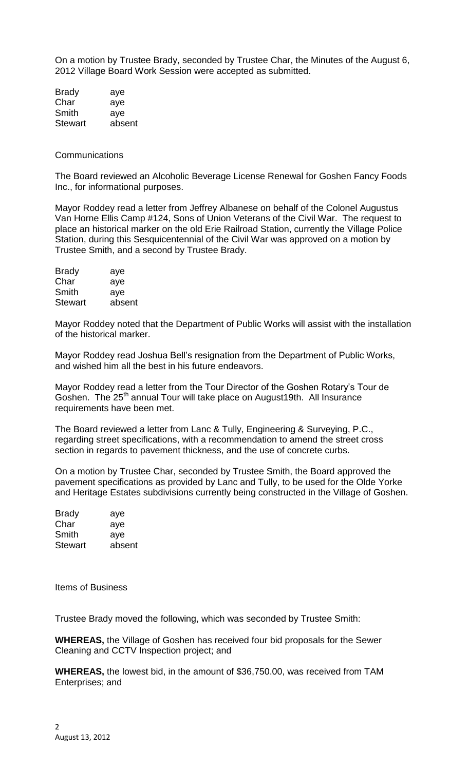On a motion by Trustee Brady, seconded by Trustee Char, the Minutes of the August 6, 2012 Village Board Work Session were accepted as submitted.

| <b>Brady</b>   | aye    |
|----------------|--------|
| Char           | aye    |
| Smith          | aye    |
| <b>Stewart</b> | absent |

### Communications

The Board reviewed an Alcoholic Beverage License Renewal for Goshen Fancy Foods Inc., for informational purposes.

Mayor Roddey read a letter from Jeffrey Albanese on behalf of the Colonel Augustus Van Horne Ellis Camp #124, Sons of Union Veterans of the Civil War. The request to place an historical marker on the old Erie Railroad Station, currently the Village Police Station, during this Sesquicentennial of the Civil War was approved on a motion by Trustee Smith, and a second by Trustee Brady.

| <b>Brady</b>   | aye    |
|----------------|--------|
| Char           | aye    |
| Smith          | aye    |
| <b>Stewart</b> | absent |

Mayor Roddey noted that the Department of Public Works will assist with the installation of the historical marker.

Mayor Roddey read Joshua Bell's resignation from the Department of Public Works, and wished him all the best in his future endeavors.

Mayor Roddey read a letter from the Tour Director of the Goshen Rotary's Tour de Goshen. The 25<sup>th</sup> annual Tour will take place on August19th. All Insurance requirements have been met.

The Board reviewed a letter from Lanc & Tully, Engineering & Surveying, P.C., regarding street specifications, with a recommendation to amend the street cross section in regards to pavement thickness, and the use of concrete curbs.

On a motion by Trustee Char, seconded by Trustee Smith, the Board approved the pavement specifications as provided by Lanc and Tully, to be used for the Olde Yorke and Heritage Estates subdivisions currently being constructed in the Village of Goshen.

| aye    |
|--------|
| aye    |
| aye    |
| absent |
|        |

Items of Business

Trustee Brady moved the following, which was seconded by Trustee Smith:

**WHEREAS,** the Village of Goshen has received four bid proposals for the Sewer Cleaning and CCTV Inspection project; and

**WHEREAS,** the lowest bid, in the amount of \$36,750.00, was received from TAM Enterprises; and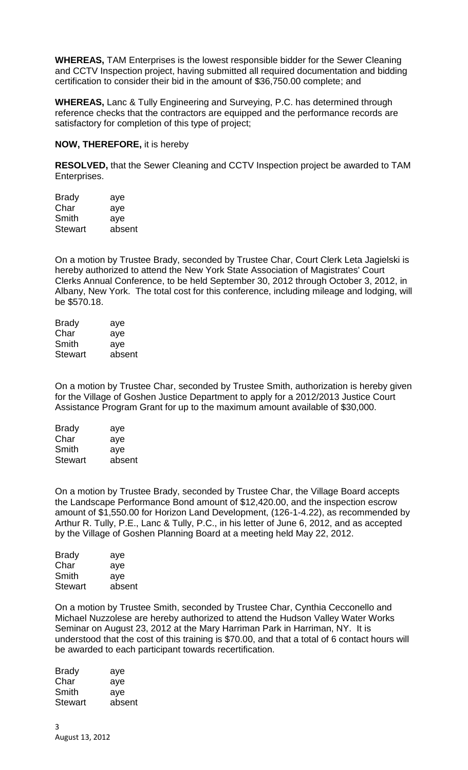**WHEREAS,** TAM Enterprises is the lowest responsible bidder for the Sewer Cleaning and CCTV Inspection project, having submitted all required documentation and bidding certification to consider their bid in the amount of \$36,750.00 complete; and

**WHEREAS,** Lanc & Tully Engineering and Surveying, P.C. has determined through reference checks that the contractors are equipped and the performance records are satisfactory for completion of this type of project;

# **NOW, THEREFORE,** it is hereby

**RESOLVED,** that the Sewer Cleaning and CCTV Inspection project be awarded to TAM Enterprises.

| <b>Brady</b> | aye    |
|--------------|--------|
| Char         | aye    |
| Smith        | aye    |
| Stewart      | absent |

On a motion by Trustee Brady, seconded by Trustee Char, Court Clerk Leta Jagielski is hereby authorized to attend the New York State Association of Magistrates' Court Clerks Annual Conference, to be held September 30, 2012 through October 3, 2012, in Albany, New York. The total cost for this conference, including mileage and lodging, will be \$570.18.

| <b>Brady</b> | aye    |
|--------------|--------|
| Char         | aye    |
| Smith        | aye    |
| Stewart      | absent |

On a motion by Trustee Char, seconded by Trustee Smith, authorization is hereby given for the Village of Goshen Justice Department to apply for a 2012/2013 Justice Court Assistance Program Grant for up to the maximum amount available of \$30,000.

| aye    |
|--------|
| aye    |
| ave    |
| absent |
|        |

On a motion by Trustee Brady, seconded by Trustee Char, the Village Board accepts the Landscape Performance Bond amount of \$12,420.00, and the inspection escrow amount of \$1,550.00 for Horizon Land Development, (126-1-4.22), as recommended by Arthur R. Tully, P.E., Lanc & Tully, P.C., in his letter of June 6, 2012, and as accepted by the Village of Goshen Planning Board at a meeting held May 22, 2012.

| <b>Brady</b>   | aye    |
|----------------|--------|
| Char           | aye    |
| Smith          | ave    |
| <b>Stewart</b> | absent |
|                |        |

On a motion by Trustee Smith, seconded by Trustee Char, Cynthia Cecconello and Michael Nuzzolese are hereby authorized to attend the Hudson Valley Water Works Seminar on August 23, 2012 at the Mary Harriman Park in Harriman, NY. It is understood that the cost of this training is \$70.00, and that a total of 6 contact hours will be awarded to each participant towards recertification.

| aye    |
|--------|
| aye    |
| ave    |
| absent |
|        |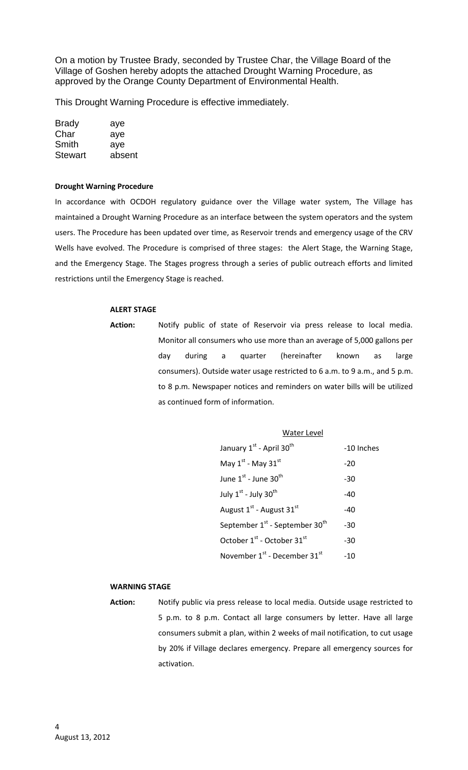On a motion by Trustee Brady, seconded by Trustee Char, the Village Board of the Village of Goshen hereby adopts the attached Drought Warning Procedure, as approved by the Orange County Department of Environmental Health.

This Drought Warning Procedure is effective immediately.

| <b>Brady</b>   | aye    |
|----------------|--------|
| Char           | aye    |
| Smith          | aye    |
| <b>Stewart</b> | absent |

#### **Drought Warning Procedure**

In accordance with OCDOH regulatory guidance over the Village water system, The Village has maintained a Drought Warning Procedure as an interface between the system operators and the system users. The Procedure has been updated over time, as Reservoir trends and emergency usage of the CRV Wells have evolved. The Procedure is comprised of three stages: the Alert Stage, the Warning Stage, and the Emergency Stage. The Stages progress through a series of public outreach efforts and limited restrictions until the Emergency Stage is reached.

#### **ALERT STAGE**

**Action:** Notify public of state of Reservoir via press release to local media. Monitor all consumers who use more than an average of 5,000 gallons per day during a quarter (hereinafter known as large consumers). Outside water usage restricted to 6 a.m. to 9 a.m., and 5 p.m. to 8 p.m. Newspaper notices and reminders on water bills will be utilized as continued form of information.

| Water Level                                            |            |
|--------------------------------------------------------|------------|
| January 1st - April 30 <sup>th</sup>                   | -10 Inches |
| May $1^{st}$ - May $31^{st}$                           | $-20$      |
| June $1^{st}$ - June $30^{th}$                         | $-30$      |
| July 1st - July 30th                                   | $-40$      |
| August 1 <sup>st</sup> - August 31 <sup>st</sup>       | $-40$      |
| September 1 <sup>st</sup> - September 30 <sup>th</sup> | -30        |
| October 1 <sup>st</sup> - October 31 <sup>st</sup>     | $-30$      |
| November 1 <sup>st</sup> - December 31 <sup>st</sup>   | $-10$      |

# **WARNING STAGE**

**Action:** Notify public via press release to local media. Outside usage restricted to 5 p.m. to 8 p.m. Contact all large consumers by letter. Have all large consumers submit a plan, within 2 weeks of mail notification, to cut usage by 20% if Village declares emergency. Prepare all emergency sources for activation.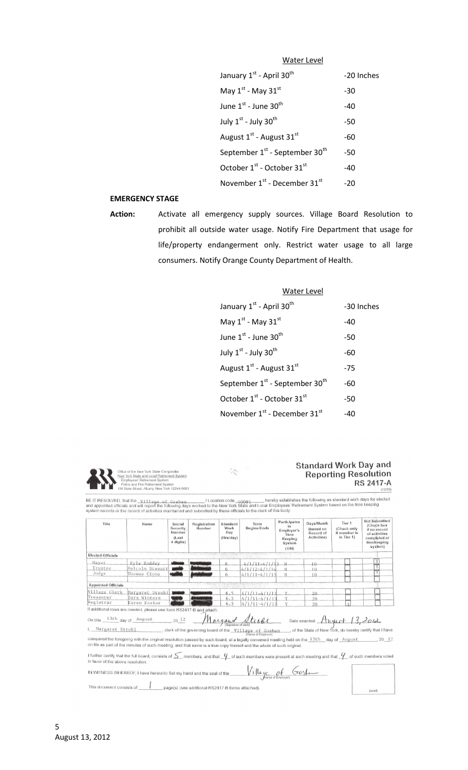# Water Level

| January 1 <sup>st</sup> - April 30 <sup>th</sup>     | -20 Inches |
|------------------------------------------------------|------------|
| May $1^{\text{st}}$ - May 31st                       | $-30$      |
| June $1^{\rm st}$ - June 30 $^{\rm th}$              | $-40$      |
| July 1st - July 30th                                 | $-50$      |
| August 1st - August 31st                             | -60        |
| September 1 $^{\rm st}$ - September 30 $^{\rm th}$   | $-50$      |
| October $1^{\text{st}}$ - October 31st               | $-40$      |
| November 1 <sup>st</sup> - December 31 <sup>st</sup> | $-20$      |

### **EMERGENCY STAGE**

**Action:** Activate all emergency supply sources. Village Board Resolution to prohibit all outside water usage. Notify Fire Department that usage for life/property endangerment only. Restrict water usage to all large consumers. Notify Orange County Department of Health.

# Water Level

| January 1st - April 30 <sup>th</sup>                   | -30 Inches |
|--------------------------------------------------------|------------|
| May $1^{st}$ - May $31^{st}$                           | $-40$      |
| June $1^{st}$ - June $30^{th}$                         | $-50$      |
| July $1^{st}$ - July 30 <sup>th</sup>                  | -60        |
| August 1 <sup>st</sup> - August 31 <sup>st</sup>       | $-75$      |
| September 1 <sup>st</sup> - September 30 <sup>th</sup> | -60        |
| October 1st - October 31st                             | -50        |
| November 1 <sup>st</sup> - December 31 <sup>st</sup>   | -40        |

Office of the New York State Comptroller<br>New York State and Local Retirement System<br>Forployees' Retirement System<br>Police and Fire Retirement System<br>110 State Street, Albany, New York 12244-0001

#### **Standard Work Day and** Reporting Resolution **RS 2417-A**

BE IT RESOLVED, that the \_village\_of\_Goshen \_\_\_\_\_\_\_/ Location code\_40091\_\_\_\_\_hereby establishes the following as standard work days for elected<br>and appointed officials and will report the following days worked to the New Y

 $\begin{aligned} \mathbf{e}^{i\mathbf{e}}_{\mathbf{e}_{1},\mathbf{e}_{2},\mathbf{e}_{3},\mathbf{e}_{4}} & \mathbf{e}^{i\mathbf{e}_{3},\mathbf{e}_{4}} \\ \mathbf{e}^{i\mathbf{e}_{2},\mathbf{e}_{3},\mathbf{e}_{4},\mathbf{e}_{5},\mathbf{e}_{5},\mathbf{e}_{6},\mathbf{e}_{7},\mathbf{e}_{8},\mathbf{e}_{9},\mathbf{e}_{9},\mathbf{e}_{9},\mathbf{e}_{9},\mathbf{e}_{9},\mathbf{e}_{9},\mathbf{e}_{9},\mathbf{e}_{9},\mathbf{e}_{$ 

| Title                                   | Name                                                                                                                                                                                                                                                           | Social<br>Security<br>Number<br>(Last)<br>4 digits) | Registration<br>Number                               | Standard<br>Work<br>Day<br>(Hrs/day) | Term<br>Begins/Ends                                                          | Participates<br>m<br>Employer's<br>Time<br>Keeping<br>System<br>(Y/N) | Days/Month<br>(based on<br>Record of<br>Activities) | Tier <sub>1</sub><br>(Check only<br>if member is<br>in Tier 1) | Not Submitted<br>(Check box<br>if no record<br>of activities<br>completed or<br>timekeeping<br>system) |
|-----------------------------------------|----------------------------------------------------------------------------------------------------------------------------------------------------------------------------------------------------------------------------------------------------------------|-----------------------------------------------------|------------------------------------------------------|--------------------------------------|------------------------------------------------------------------------------|-----------------------------------------------------------------------|-----------------------------------------------------|----------------------------------------------------------------|--------------------------------------------------------------------------------------------------------|
| <b>Elected Officials</b>                |                                                                                                                                                                                                                                                                |                                                     |                                                      |                                      |                                                                              |                                                                       |                                                     |                                                                |                                                                                                        |
| Mayor<br>Trustee<br>Judge               | Kyle Roddey<br>Malcolm Stewart<br>Thomas Cione                                                                                                                                                                                                                 |                                                     |                                                      | 6<br>6.                              | $4/1/11=4/1/13$ N<br>$4/1/12 - 4/1/14$<br>$4/1/11-4/1/15$                    | N                                                                     | $10-$<br>10<br>10                                   |                                                                | X<br>₹<br>Ÿ                                                                                            |
| <b>Appointed Officials</b>              |                                                                                                                                                                                                                                                                |                                                     | THE R. P. LEWIS CO., LANSING, MICH. 49-14039-1-120-2 |                                      | の場所を受けるの やりとはずながり時間を通り込む時間の場所のからはつきのあずにするから                                  | 1万円 中国語で国語性の医師の中に「2011年度                                              |                                                     |                                                                |                                                                                                        |
| Village Clerk<br>Treasurer<br>Registrar | Margaret Strobl<br>Sara Winters<br>Karen Kosior                                                                                                                                                                                                                |                                                     |                                                      | 6.5<br>6.5<br>6.5                    | $4/1/11=4/1/13$<br>$4/1/11 - 4/1/13$<br>$4/1/11-4/1/13$                      | V<br>V<br>Y                                                           | $20 -$<br>20<br>20                                  | $\mathbf{v}$                                                   |                                                                                                        |
|                                         | If additional rows are needed, please use form RS2417-B and attach.<br>On this $\frac{13th}{\text{day of}}$ $\frac{\text{August}}{20^{12}}$ $M\alpha_4\alpha_5$ $M\alpha_6\beta_7$                                                                             |                                                     |                                                      |                                      |                                                                              |                                                                       |                                                     | Date enacted: Angust 13, 2012                                  |                                                                                                        |
| Margaret Strobl                         |                                                                                                                                                                                                                                                                |                                                     |                                                      |                                      | clerk of the governing board of the Village of Goshen.<br>(Name of Employer) |                                                                       |                                                     |                                                                | of the State of New York, do hereby certify that I have                                                |
|                                         | compared the foregoing with the original resolution passed by such board, at a legally convened meeting held on the 13th day of August<br>on file as part of the minutes of such meeting, and that same is a true copy thereof and the whole of such original. |                                                     |                                                      |                                      |                                                                              |                                                                       |                                                     |                                                                | 20 12                                                                                                  |

I further certify that the full board, consists of  $\leq$  members, and that  $\mu$  of such members were present at such meeting and that  $\mu$  of such members voted in favor of the above resolution.  $\overline{a}$ 

| $\cos\theta$<br>IN WITNESS WHEREOF, I have hereunto Set my hand and the seal of the<br>Mame of Employer)<br>This document consists of<br>page(s) (see additional RS2417-B forms attached). | in layor of the above resolution. |              |
|--------------------------------------------------------------------------------------------------------------------------------------------------------------------------------------------|-----------------------------------|--------------|
|                                                                                                                                                                                            |                                   |              |
|                                                                                                                                                                                            |                                   | <i>(seal</i> |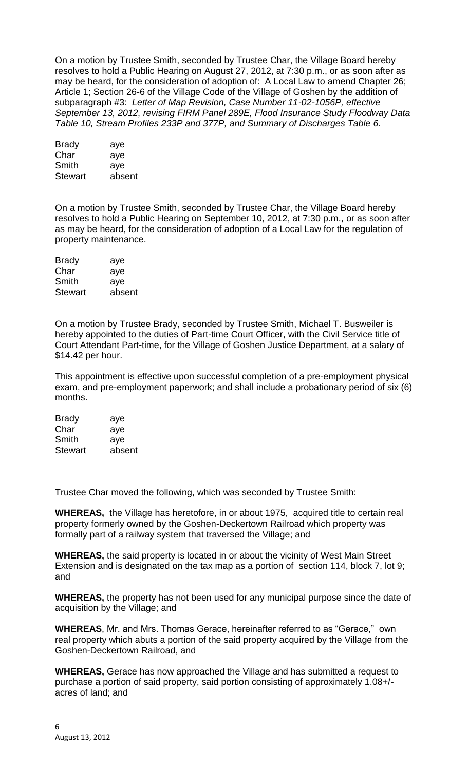On a motion by Trustee Smith, seconded by Trustee Char, the Village Board hereby resolves to hold a Public Hearing on August 27, 2012, at 7:30 p.m., or as soon after as may be heard, for the consideration of adoption of: A Local Law to amend Chapter 26; Article 1; Section 26-6 of the Village Code of the Village of Goshen by the addition of subparagraph #3: *Letter of Map Revision, Case Number 11-02-1056P, effective September 13, 2012, revising FIRM Panel 289E, Flood Insurance Study Floodway Data Table 10, Stream Profiles 233P and 377P, and Summary of Discharges Table 6.*

| <b>Brady</b>   | aye    |
|----------------|--------|
| Char           | aye    |
| Smith          | aye    |
| <b>Stewart</b> | absent |

On a motion by Trustee Smith, seconded by Trustee Char, the Village Board hereby resolves to hold a Public Hearing on September 10, 2012, at 7:30 p.m., or as soon after as may be heard, for the consideration of adoption of a Local Law for the regulation of property maintenance.

| aye    |
|--------|
| aye    |
| aye    |
| absent |
|        |

On a motion by Trustee Brady, seconded by Trustee Smith, Michael T. Busweiler is hereby appointed to the duties of Part-time Court Officer, with the Civil Service title of Court Attendant Part-time, for the Village of Goshen Justice Department, at a salary of \$14.42 per hour.

This appointment is effective upon successful completion of a pre-employment physical exam, and pre-employment paperwork; and shall include a probationary period of six (6) months.

| aye    |
|--------|
| aye    |
| ave    |
| absent |
|        |

Trustee Char moved the following, which was seconded by Trustee Smith:

**WHEREAS,** the Village has heretofore, in or about 1975, acquired title to certain real property formerly owned by the Goshen-Deckertown Railroad which property was formally part of a railway system that traversed the Village; and

**WHEREAS,** the said property is located in or about the vicinity of West Main Street Extension and is designated on the tax map as a portion of section 114, block 7, lot 9; and

**WHEREAS,** the property has not been used for any municipal purpose since the date of acquisition by the Village; and

**WHEREAS**, Mr. and Mrs. Thomas Gerace, hereinafter referred to as "Gerace," own real property which abuts a portion of the said property acquired by the Village from the Goshen-Deckertown Railroad, and

**WHEREAS,** Gerace has now approached the Village and has submitted a request to purchase a portion of said property, said portion consisting of approximately 1.08+/ acres of land; and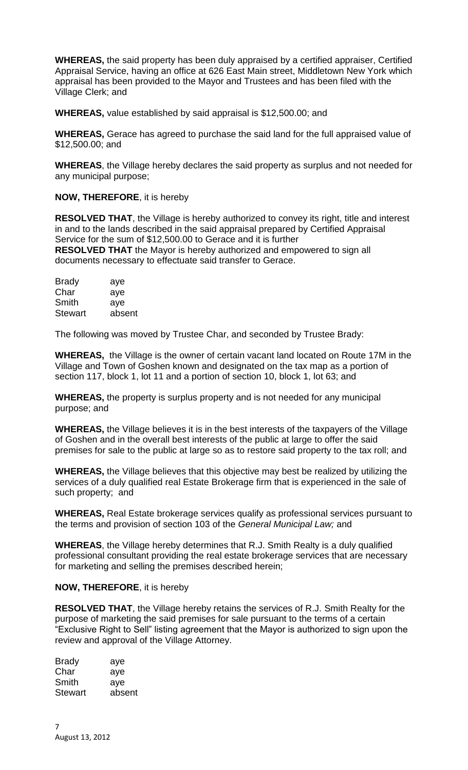**WHEREAS,** the said property has been duly appraised by a certified appraiser, Certified Appraisal Service, having an office at 626 East Main street, Middletown New York which appraisal has been provided to the Mayor and Trustees and has been filed with the Village Clerk; and

**WHEREAS,** value established by said appraisal is \$12,500.00; and

**WHEREAS,** Gerace has agreed to purchase the said land for the full appraised value of \$12,500.00; and

**WHEREAS**, the Village hereby declares the said property as surplus and not needed for any municipal purpose;

**NOW, THEREFORE**, it is hereby

**RESOLVED THAT**, the Village is hereby authorized to convey its right, title and interest in and to the lands described in the said appraisal prepared by Certified Appraisal Service for the sum of \$12,500.00 to Gerace and it is further **RESOLVED THAT** the Mayor is hereby authorized and empowered to sign all documents necessary to effectuate said transfer to Gerace.

| <b>Brady</b>   | aye    |
|----------------|--------|
| Char           | aye    |
| Smith          | aye    |
| <b>Stewart</b> | absent |

The following was moved by Trustee Char, and seconded by Trustee Brady:

**WHEREAS,** the Village is the owner of certain vacant land located on Route 17M in the Village and Town of Goshen known and designated on the tax map as a portion of section 117, block 1, lot 11 and a portion of section 10, block 1, lot 63; and

**WHEREAS,** the property is surplus property and is not needed for any municipal purpose; and

**WHEREAS,** the Village believes it is in the best interests of the taxpayers of the Village of Goshen and in the overall best interests of the public at large to offer the said premises for sale to the public at large so as to restore said property to the tax roll; and

**WHEREAS,** the Village believes that this objective may best be realized by utilizing the services of a duly qualified real Estate Brokerage firm that is experienced in the sale of such property; and

**WHEREAS,** Real Estate brokerage services qualify as professional services pursuant to the terms and provision of section 103 of the *General Municipal Law;* and

**WHEREAS**, the Village hereby determines that R.J. Smith Realty is a duly qualified professional consultant providing the real estate brokerage services that are necessary for marketing and selling the premises described herein;

# **NOW, THEREFORE**, it is hereby

**RESOLVED THAT**, the Village hereby retains the services of R.J. Smith Realty for the purpose of marketing the said premises for sale pursuant to the terms of a certain "Exclusive Right to Sell" listing agreement that the Mayor is authorized to sign upon the review and approval of the Village Attorney.

| <b>Brady</b> | aye    |
|--------------|--------|
| Char         | aye    |
| Smith        | aye    |
| Stewart      | absent |